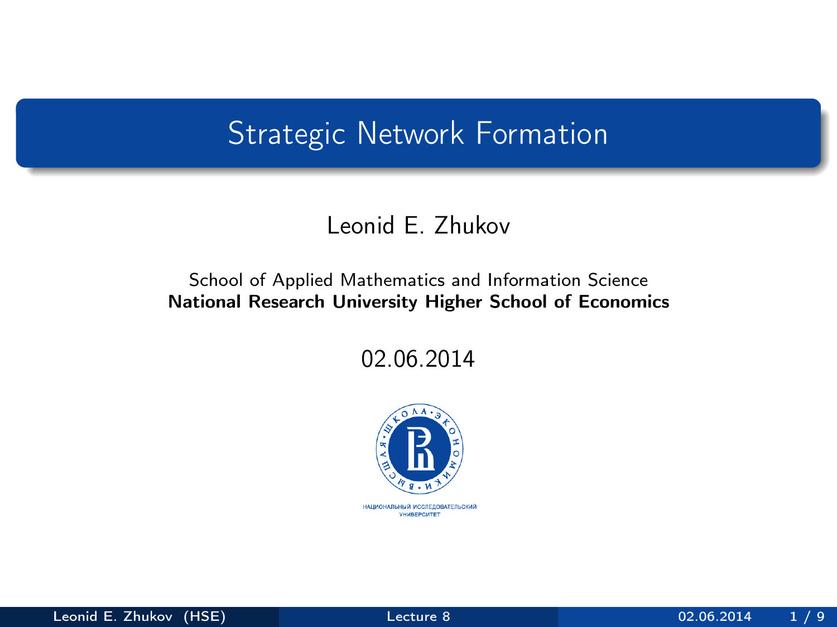## <span id="page-0-0"></span>Strategic Network Formation

### Leonid E. Zhukov

#### School of Applied Mathematics and Information Science National Research University Higher School of Economics

02.06.2014

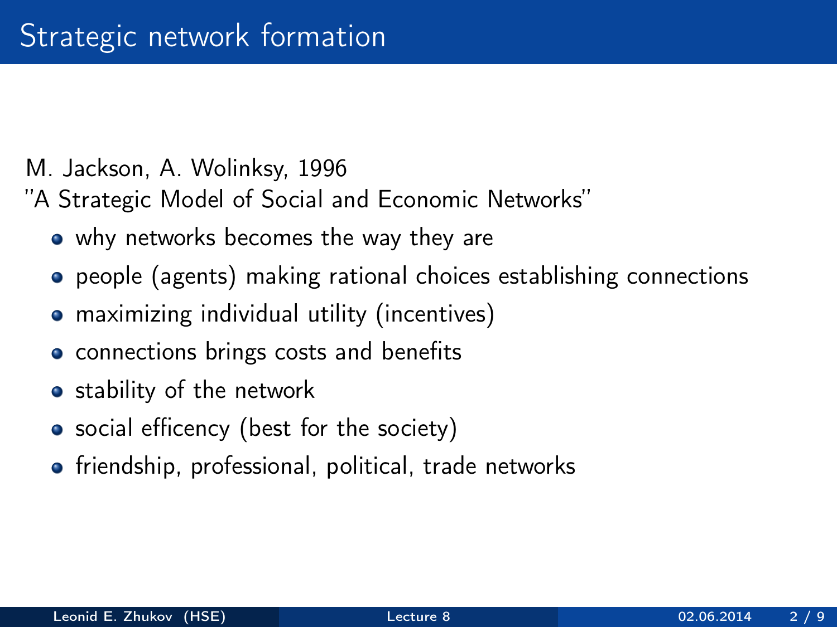- M. Jackson, A. Wolinksy, 1996
- "A Strategic Model of Social and Economic Networks"
	- why networks becomes the way they are
	- people (agents) making rational choices establishing connections
	- **•** maximizing individual utility (incentives)
	- connections brings costs and benefits
	- stability of the network
	- social efficency (best for the society)
	- **•** friendship, professional, political, trade networks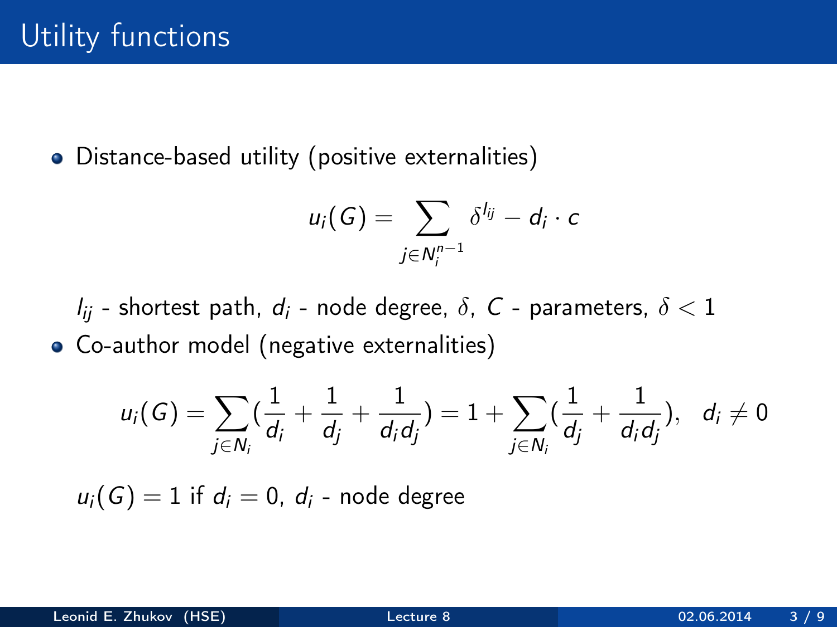Distance-based utility (positive externalities)

$$
u_i(G)=\sum_{j\in N_i^{n-1}}\delta^{l_{ij}}-d_i\cdot c
$$

 $l_{ii}$  - shortest path,  $d_i$  - node degree,  $\delta$ , C - parameters,  $\delta$  < 1

Co-author model (negative externalities)

$$
u_i(G) = \sum_{j \in N_i} \left( \frac{1}{d_i} + \frac{1}{d_j} + \frac{1}{d_i d_j} \right) = 1 + \sum_{j \in N_i} \left( \frac{1}{d_j} + \frac{1}{d_i d_j} \right), \quad d_i \neq 0
$$

 $u_i(G) = 1$  if  $d_i = 0$ ,  $d_i$  - node degree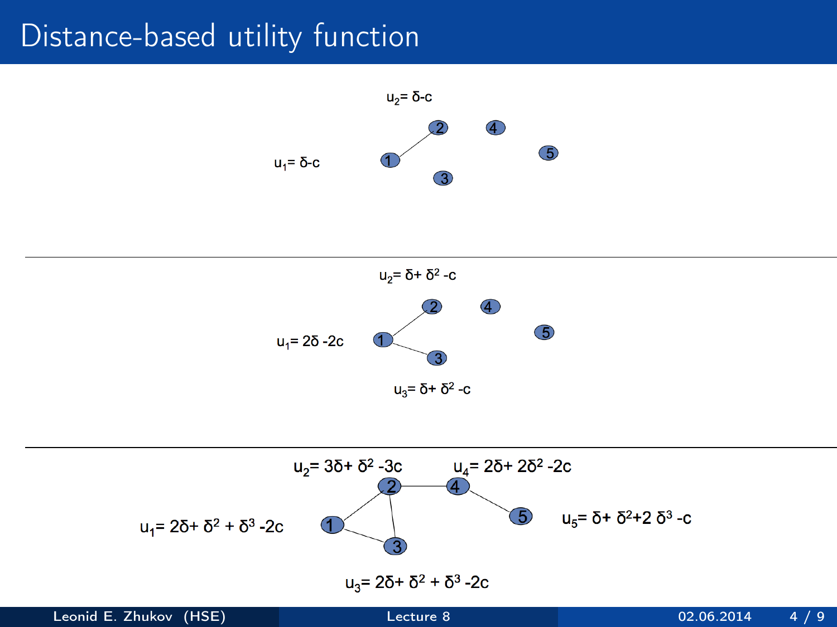## Distance-based utility function





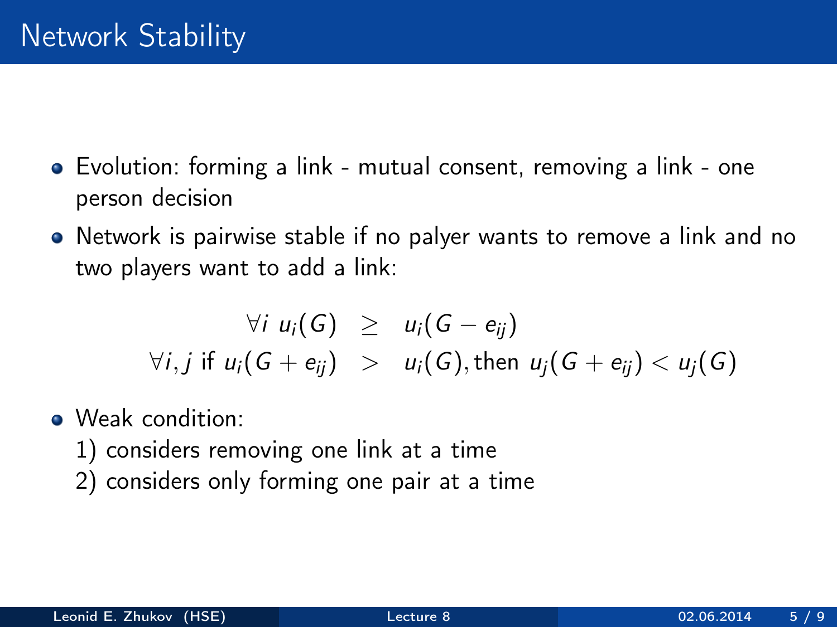- Evolution: forming a link mutual consent, removing a link one person decision
- Network is pairwise stable if no palyer wants to remove a link and no two players want to add a link:

$$
\forall i \ u_i(G) \geq u_i(G - e_{ij})
$$
  
\n
$$
\forall i, j \text{ if } u_i(G + e_{ij}) > u_i(G), \text{ then } u_j(G + e_{ij}) < u_j(G)
$$

- Weak condition:
	- 1) considers removing one link at a time
	- 2) considers only forming one pair at a time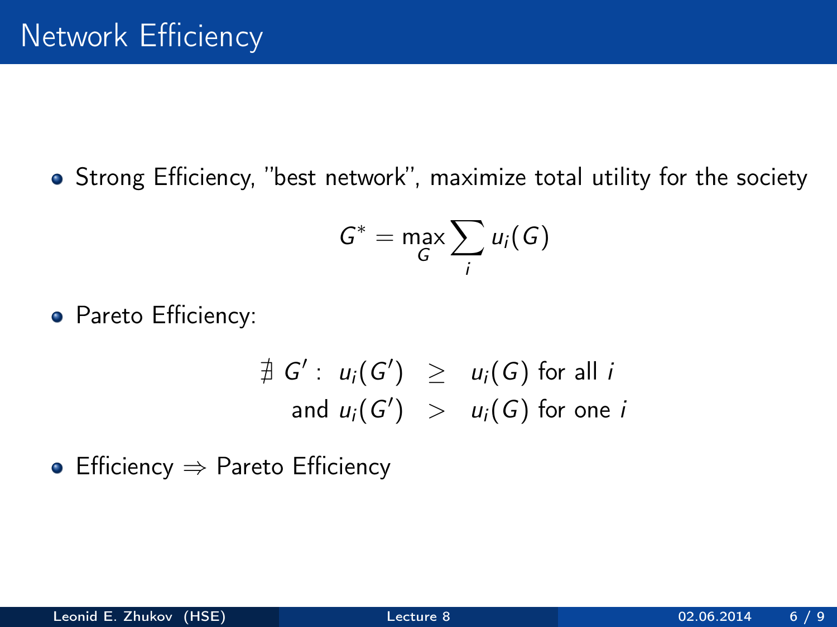Strong Efficiency, "best network", maximize total utility for the society

$$
G^* = \max_G \sum_i u_i(G)
$$

• Pareto Efficiency:

$$
\begin{array}{rcl}\n\exists G': u_i(G') & \geq & u_i(G) \text{ for all } i \\
\text{and } u_i(G') & > & u_i(G) \text{ for one } i\n\end{array}
$$

• Efficiency  $\Rightarrow$  Pareto Efficiency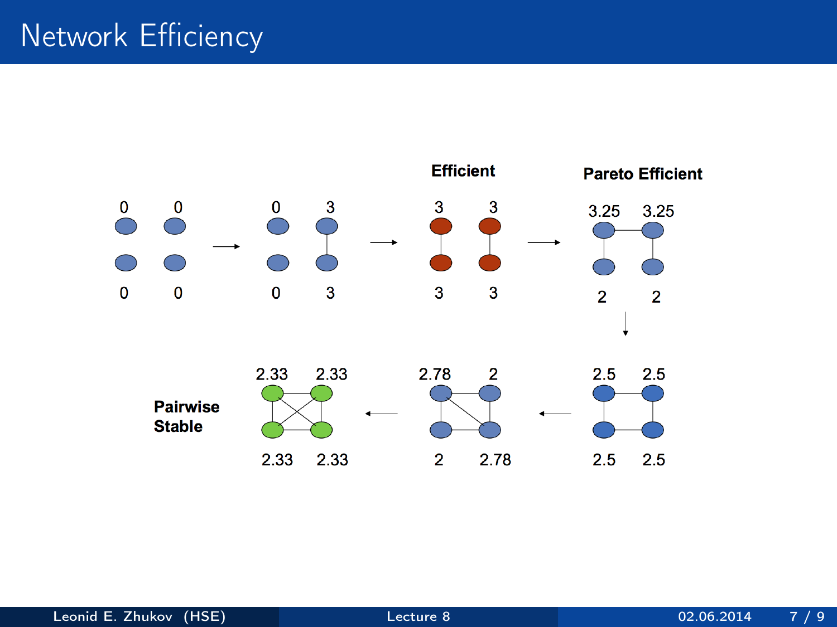# Network Efficiency